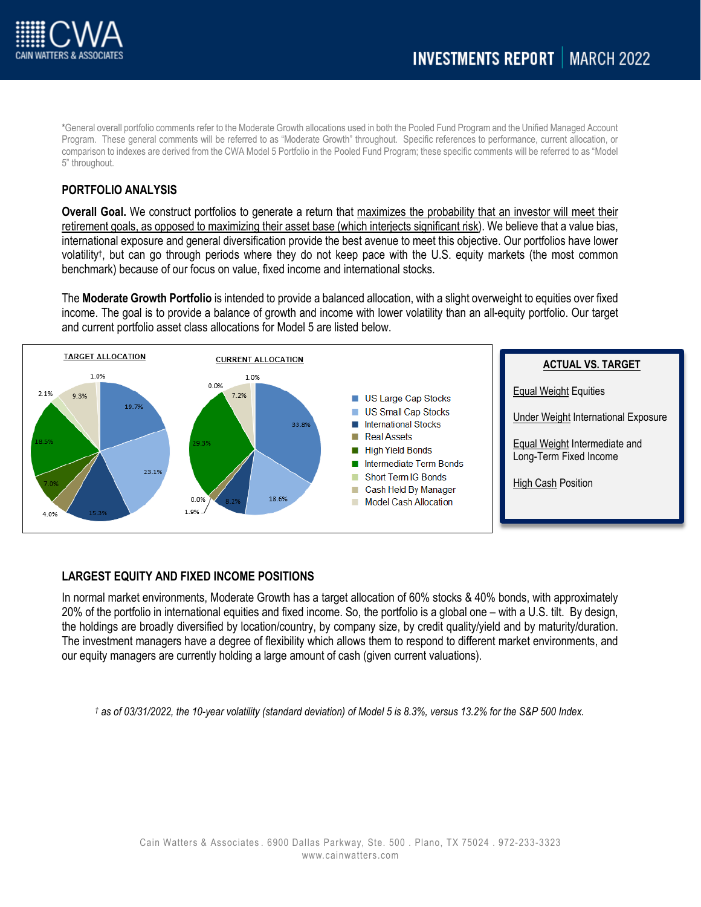

\*General overall portfolio comments refer to the Moderate Growth allocations used in both the Pooled Fund Program and the Unified Managed Account Program. These general comments will be referred to as "Moderate Growth" throughout. Specific references to performance, current allocation, or comparison to indexes are derived from the CWA Model 5 Portfolio in the Pooled Fund Program; these specific comments will be referred to as "Model 5" throughout.

## **PORTFOLIO ANALYSIS**

**Overall Goal.** We construct portfolios to generate a return that maximizes the probability that an investor will meet their retirement goals, as opposed to maximizing their asset base (which interjects significant risk). We believe that a value bias, international exposure and general diversification provide the best avenue to meet this objective. Our portfolios have lower volatility†, but can go through periods where they do not keep pace with the U.S. equity markets (the most common benchmark) because of our focus on value, fixed income and international stocks.

The **Moderate Growth Portfolio** is intended to provide a balanced allocation, with a slight overweight to equities over fixed income. The goal is to provide a balance of growth and income with lower volatility than an all-equity portfolio. Our target and current portfolio asset class allocations for Model 5 are listed below.



# **LARGEST EQUITY AND FIXED INCOME POSITIONS**

In normal market environments, Moderate Growth has a target allocation of 60% stocks & 40% bonds, with approximately 20% of the portfolio in international equities and fixed income. So, the portfolio is a global one – with a U.S. tilt. By design, the holdings are broadly diversified by location/country, by company size, by credit quality/yield and by maturity/duration. The investment managers have a degree of flexibility which allows them to respond to different market environments, and our equity managers are currently holding a large amount of cash (given current valuations).

*† as of 03/31/2022, the 10-year volatility (standard deviation) of Model 5 is 8.3%, versus 13.2% for the S&P 500 Index.*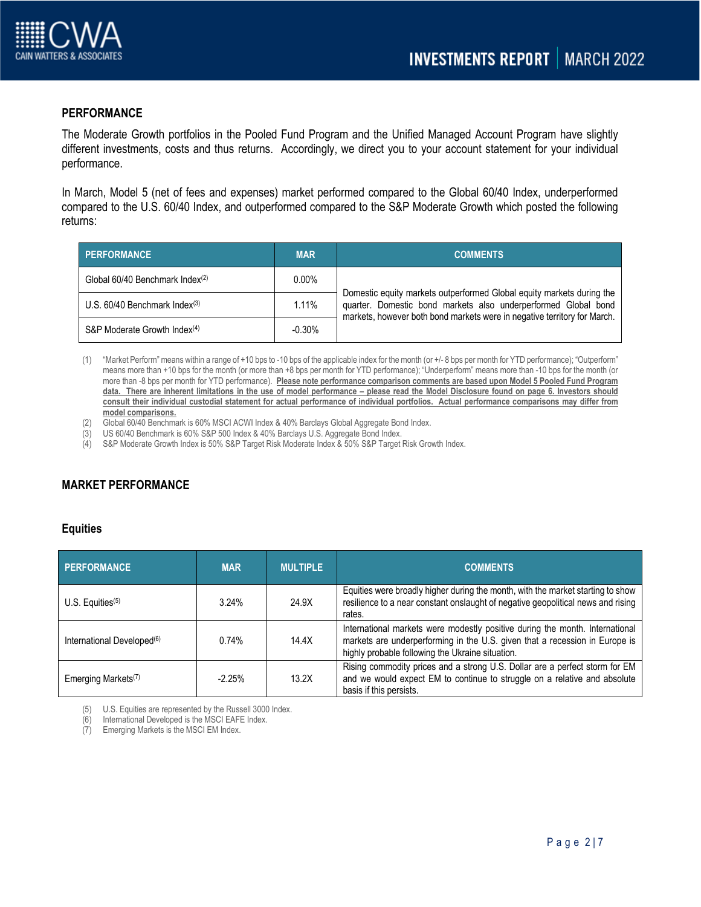

### **PERFORMANCE**

The Moderate Growth portfolios in the Pooled Fund Program and the Unified Managed Account Program have slightly different investments, costs and thus returns. Accordingly, we direct you to your account statement for your individual performance.

In March, Model 5 (net of fees and expenses) market performed compared to the Global 60/40 Index, underperformed compared to the U.S. 60/40 Index, and outperformed compared to the S&P Moderate Growth which posted the following returns:

| PERFORMANCE                                 | <b>MAR</b> | <b>COMMENTS</b>                                                                                                                                                                                                     |
|---------------------------------------------|------------|---------------------------------------------------------------------------------------------------------------------------------------------------------------------------------------------------------------------|
| Global 60/40 Benchmark Index <sup>(2)</sup> | $0.00\%$   | Domestic equity markets outperformed Global equity markets during the<br>quarter. Domestic bond markets also underperformed Global bond<br>markets, however both bond markets were in negative territory for March. |
| U.S. $60/40$ Benchmark Index $(3)$          | 1.11%      |                                                                                                                                                                                                                     |
| S&P Moderate Growth Index <sup>(4)</sup>    | $-0.30\%$  |                                                                                                                                                                                                                     |

- (1) "Market Perform" means within a range of +10 bps to -10 bps of the applicable index for the month (or +/- 8 bps per month for YTD performance); "Outperform" means more than +10 bps for the month (or more than +8 bps per month for YTD performance); "Underperform" means more than -10 bps for the month (or more than -8 bps per month for YTD performance). **Please note performance comparison comments are based upon Model 5 Pooled Fund Program data. There are inherent limitations in the use of model performance – please read the Model Disclosure found on page 6. Investors should consult their individual custodial statement for actual performance of individual portfolios. Actual performance comparisons may differ from model comparisons.**
- (2) Global 60/40 Benchmark is 60% MSCI ACWI Index & 40% Barclays Global Aggregate Bond Index.
- (3) US 60/40 Benchmark is 60% S&P 500 Index & 40% Barclays U.S. Aggregate Bond Index.
- (4) S&P Moderate Growth Index is 50% S&P Target Risk Moderate Index & 50% S&P Target Risk Growth Index.

# **MARKET PERFORMANCE**

#### **Equities**

| <b>PERFORMANCE</b>                     | <b>MAR</b> | <b>MULTIPLE</b> | <b>COMMENTS</b>                                                                                                                                                                                                 |
|----------------------------------------|------------|-----------------|-----------------------------------------------------------------------------------------------------------------------------------------------------------------------------------------------------------------|
| U.S. Equities $(5)$                    | 3.24%      | 24.9X           | Equities were broadly higher during the month, with the market starting to show<br>resilience to a near constant onslaught of negative geopolitical news and rising<br>rates.                                   |
| International Developed <sup>(6)</sup> | 0.74%      | 14.4X           | International markets were modestly positive during the month. International<br>markets are underperforming in the U.S. given that a recession in Europe is<br>highly probable following the Ukraine situation. |
| Emerging Markets <sup>(7)</sup>        | $-2.25%$   | 13.2X           | Rising commodity prices and a strong U.S. Dollar are a perfect storm for EM<br>and we would expect EM to continue to struggle on a relative and absolute<br>basis if this persists.                             |

(5) U.S. Equities are represented by the Russell 3000 Index.

(6) International Developed is the MSCI EAFE Index.

(7) Emerging Markets is the MSCI EM Index.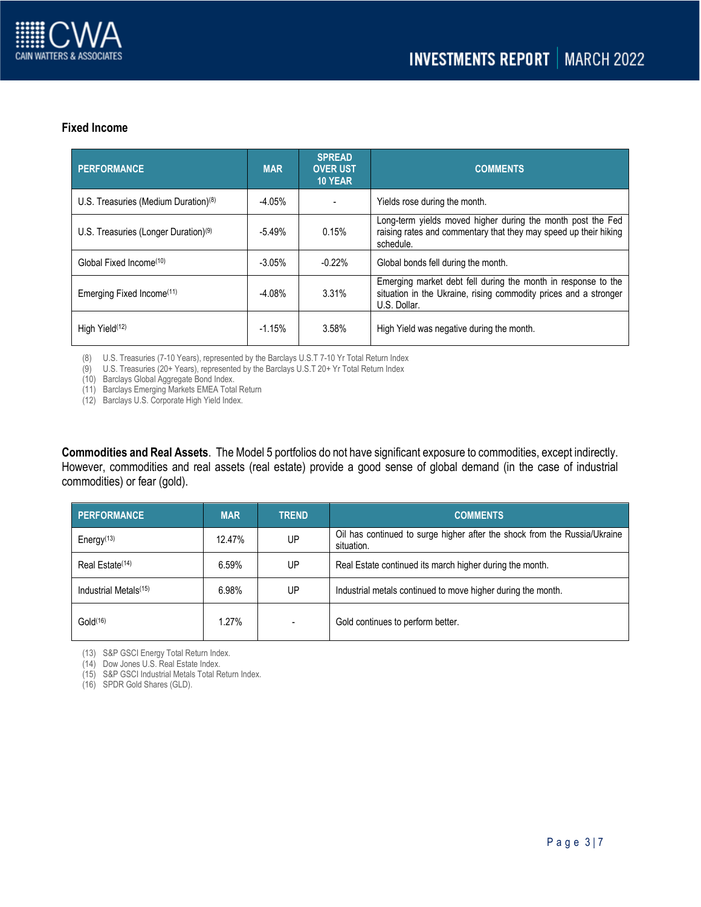

#### **Fixed Income**

| <b>PERFORMANCE</b>                               | <b>MAR</b> | <b>SPREAD</b><br><b>OVER UST</b><br><b>10 YEAR</b> | <b>COMMENTS</b>                                                                                                                                   |
|--------------------------------------------------|------------|----------------------------------------------------|---------------------------------------------------------------------------------------------------------------------------------------------------|
| U.S. Treasuries (Medium Duration) $(8)$          | $-4.05%$   |                                                    | Yields rose during the month.                                                                                                                     |
| U.S. Treasuries (Longer Duration) <sup>(9)</sup> | $-5.49%$   | 0.15%                                              | Long-term yields moved higher during the month post the Fed<br>raising rates and commentary that they may speed up their hiking<br>schedule.      |
| Global Fixed Income <sup>(10)</sup>              | $-3.05%$   | $-0.22%$                                           | Global bonds fell during the month.                                                                                                               |
| Emerging Fixed Income <sup>(11)</sup>            | $-4.08%$   | 3.31%                                              | Emerging market debt fell during the month in response to the<br>situation in the Ukraine, rising commodity prices and a stronger<br>U.S. Dollar. |
| High Yield <sup>(12)</sup>                       | $-1.15%$   | 3.58%                                              | High Yield was negative during the month.                                                                                                         |

(8) U.S. Treasuries (7-10 Years), represented by the Barclays U.S.T 7-10 Yr Total Return Index

(9) U.S. Treasuries (20+ Years), represented by the Barclays U.S.T 20+ Yr Total Return Index

(10) Barclays Global Aggregate Bond Index.

(11) Barclays Emerging Markets EMEA Total Return

(12) Barclays U.S. Corporate High Yield Index.

**Commodities and Real Assets**. The Model 5 portfolios do not have significant exposure to commodities, except indirectly. However, commodities and real assets (real estate) provide a good sense of global demand (in the case of industrial commodities) or fear (gold).

| <b>PERFORMANCE</b>                  | <b>MAR</b> | <b>TREND</b> | <b>COMMENTS</b>                                                                         |
|-------------------------------------|------------|--------------|-----------------------------------------------------------------------------------------|
| Energy <sup><math>(13)</math></sup> | 12.47%     | UP           | Oil has continued to surge higher after the shock from the Russia/Ukraine<br>situation. |
| Real Estate <sup>(14)</sup>         | 6.59%      | UP.          | Real Estate continued its march higher during the month.                                |
| Industrial Metals <sup>(15)</sup>   | 6.98%      | UP           | Industrial metals continued to move higher during the month.                            |
| Gold <sup>(16)</sup>                | 1.27%      |              | Gold continues to perform better.                                                       |

(13) S&P GSCI Energy Total Return Index.

(14) Dow Jones U.S. Real Estate Index.

(15) S&P GSCI Industrial Metals Total Return Index.

(16) SPDR Gold Shares (GLD).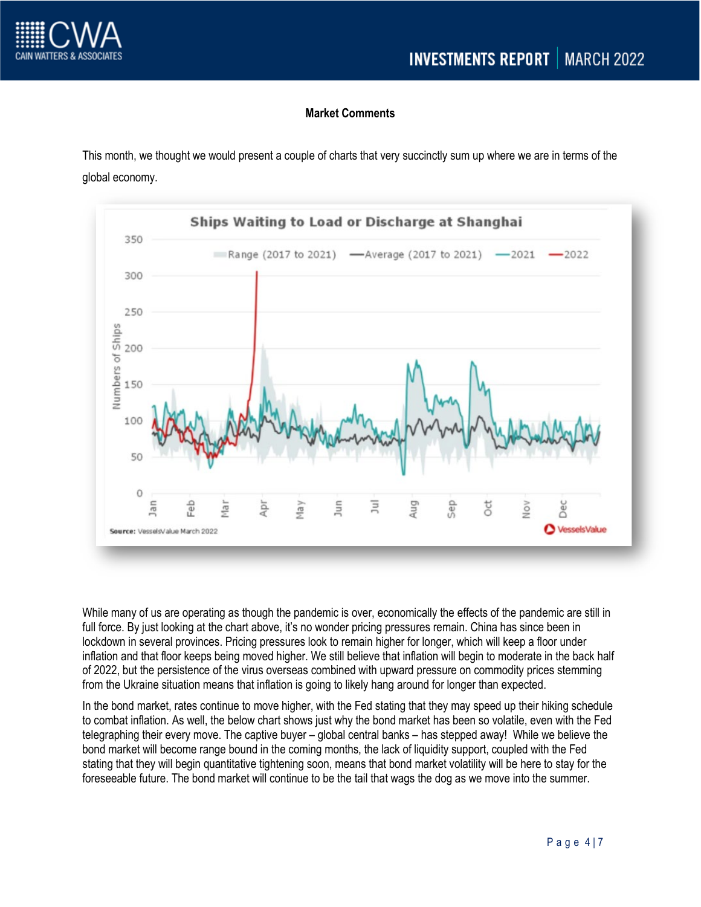



## **Market Comments**

This month, we thought we would present a couple of charts that very succinctly sum up where we are in terms of the global economy.



While many of us are operating as though the pandemic is over, economically the effects of the pandemic are still in full force. By just looking at the chart above, it's no wonder pricing pressures remain. China has since been in lockdown in several provinces. Pricing pressures look to remain higher for longer, which will keep a floor under inflation and that floor keeps being moved higher. We still believe that inflation will begin to moderate in the back half of 2022, but the persistence of the virus overseas combined with upward pressure on commodity prices stemming from the Ukraine situation means that inflation is going to likely hang around for longer than expected.

In the bond market, rates continue to move higher, with the Fed stating that they may speed up their hiking schedule to combat inflation. As well, the below chart shows just why the bond market has been so volatile, even with the Fed telegraphing their every move. The captive buyer – global central banks – has stepped away! While we believe the bond market will become range bound in the coming months, the lack of liquidity support, coupled with the Fed stating that they will begin quantitative tightening soon, means that bond market volatility will be here to stay for the foreseeable future. The bond market will continue to be the tail that wags the dog as we move into the summer.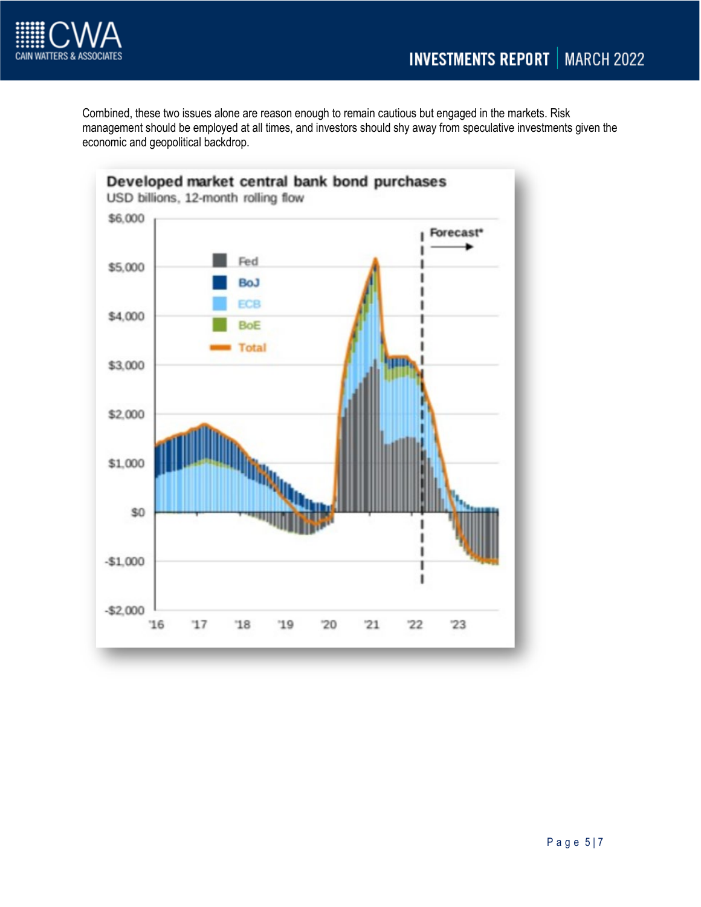

Combined, these two issues alone are reason enough to remain cautious but engaged in the markets. Risk management should be employed at all times, and investors should shy away from speculative investments given the economic and geopolitical backdrop.

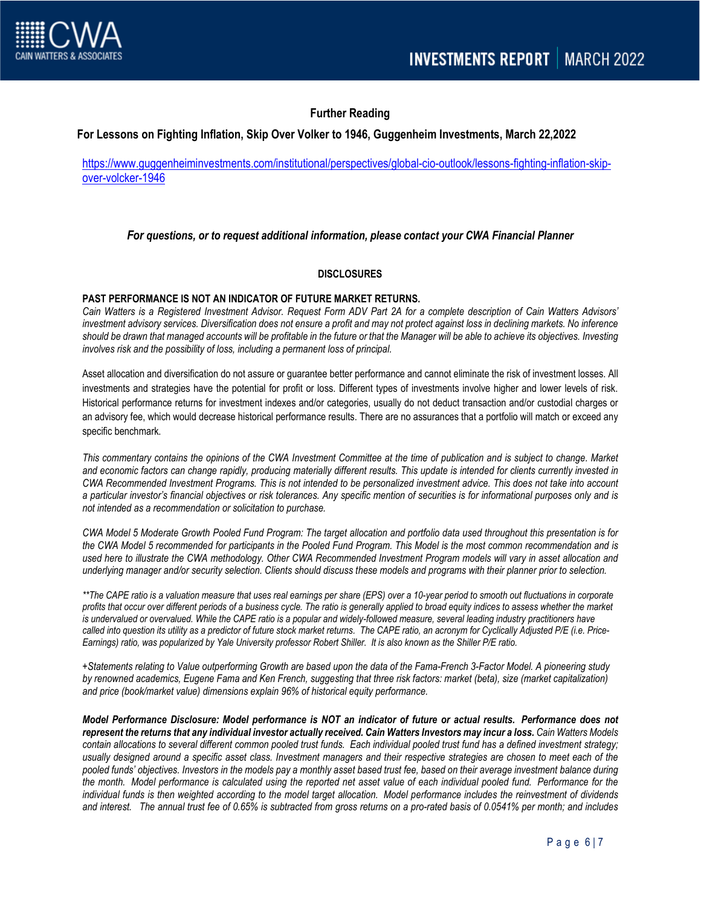

# **Further Reading**

#### **For Lessons on Fighting Inflation, Skip Over Volker to 1946, Guggenheim Investments, March 22,2022**

[https://www.guggenheiminvestments.com/institutional/perspectives/global-cio-outlook/lessons-fighting-inflation-skip](https://www.guggenheiminvestments.com/institutional/perspectives/global-cio-outlook/lessons-fighting-inflation-skip-over-volcker-1946)[over-volcker-1946](https://www.guggenheiminvestments.com/institutional/perspectives/global-cio-outlook/lessons-fighting-inflation-skip-over-volcker-1946)

#### *For questions, or to request additional information, please contact your CWA Financial Planner*

#### **DISCLOSURES**

#### **PAST PERFORMANCE IS NOT AN INDICATOR OF FUTURE MARKET RETURNS.**

*Cain Watters is a Registered Investment Advisor. Request Form ADV Part 2A for a complete description of Cain Watters Advisors' investment advisory services. Diversification does not ensure a profit and may not protect against loss in declining markets. No inference should be drawn that managed accounts will be profitable in the future or that the Manager will be able to achieve its objectives. Investing involves risk and the possibility of loss, including a permanent loss of principal.* 

Asset allocation and diversification do not assure or guarantee better performance and cannot eliminate the risk of investment losses. All investments and strategies have the potential for profit or loss. Different types of investments involve higher and lower levels of risk. Historical performance returns for investment indexes and/or categories, usually do not deduct transaction and/or custodial charges or an advisory fee, which would decrease historical performance results. There are no assurances that a portfolio will match or exceed any specific benchmark.

*This commentary contains the opinions of the CWA Investment Committee at the time of publication and is subject to change. Market and economic factors can change rapidly, producing materially different results. This update is intended for clients currently invested in CWA Recommended Investment Programs. This is not intended to be personalized investment advice. This does not take into account a particular investor's financial objectives or risk tolerances. Any specific mention of securities is for informational purposes only and is not intended as a recommendation or solicitation to purchase.* 

*CWA Model 5 Moderate Growth Pooled Fund Program: The target allocation and portfolio data used throughout this presentation is for the CWA Model 5 recommended for participants in the Pooled Fund Program. This Model is the most common recommendation and is used here to illustrate the CWA methodology. Other CWA Recommended Investment Program models will vary in asset allocation and underlying manager and/or security selection. Clients should discuss these models and programs with their planner prior to selection.* 

*\*\*The CAPE ratio is a valuation measure that uses real earnings per share (EPS) over a 10-year period to smooth out fluctuations in corporate profits that occur over different periods of a business cycle. The ratio is generally applied to broad equity indices to assess whether the market*  is undervalued or overvalued. While the CAPE ratio is a popular and widely-followed measure, several leading industry practitioners have *called into question its utility as a predictor of future stock market returns. The CAPE ratio, an acronym for Cyclically Adjusted P/E (i.e. Price-Earnings) ratio, was popularized by Yale University professor Robert Shiller. It is also known as the Shiller P/E ratio.*

*+Statements relating to Value outperforming Growth are based upon the data of the Fama-French 3-Factor Model. A pioneering study by renowned academics, Eugene Fama and Ken French, suggesting that three risk factors: market (beta), size (market capitalization) and price (book/market value) dimensions explain 96% of historical equity performance.*

*Model Performance Disclosure: Model performance is NOT an indicator of future or actual results. Performance does not*  represent the returns that any individual investor actually received. Cain Watters Investors may incur a loss. Cain Watters Models *contain allocations to several different common pooled trust funds. Each individual pooled trust fund has a defined investment strategy; usually designed around a specific asset class. Investment managers and their respective strategies are chosen to meet each of the pooled funds' objectives. Investors in the models pay a monthly asset based trust fee, based on their average investment balance during the month. Model performance is calculated using the reported net asset value of each individual pooled fund. Performance for the individual funds is then weighted according to the model target allocation. Model performance includes the reinvestment of dividends and interest. The annual trust fee of 0.65% is subtracted from gross returns on a pro-rated basis of 0.0541% per month; and includes*